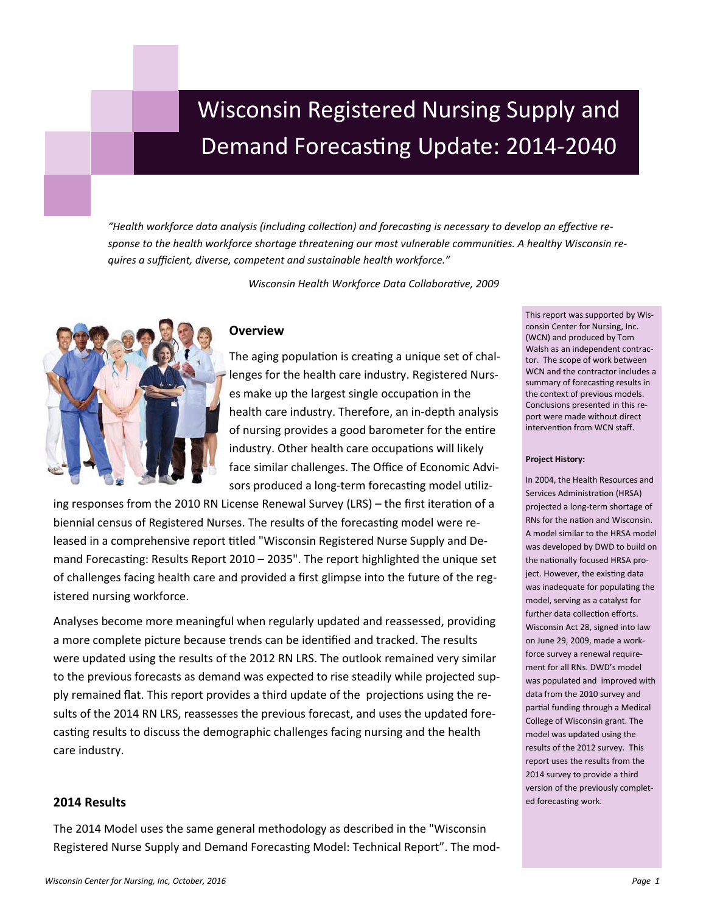# Wisconsin Registered Nursing Supply and Demand Forecasting Update: 2014-2040

*"Health workforce data analysis (including collection) and forecasting is necessary to develop an effective response to the health workforce shortage threatening our most vulnerable communities. A healthy Wisconsin requires a sufficient, diverse, competent and sustainable health workforce."*

*Wisconsin Health Workforce Data Collaborative, 2009*



# **Overview**

The aging population is creating a unique set of challenges for the health care industry. Registered Nurses make up the largest single occupation in the health care industry. Therefore, an in-depth analysis of nursing provides a good barometer for the entire industry. Other health care occupations will likely face similar challenges. The Office of Economic Advisors produced a long-term forecasting model utiliz-

ing responses from the 2010 RN License Renewal Survey (LRS) – the first iteration of a biennial census of Registered Nurses. The results of the forecasting model were released in a comprehensive report titled "Wisconsin Registered Nurse Supply and Demand Forecasting: Results Report 2010 – 2035". The report highlighted the unique set of challenges facing health care and provided a first glimpse into the future of the registered nursing workforce.

Analyses become more meaningful when regularly updated and reassessed, providing a more complete picture because trends can be identified and tracked. The results were updated using the results of the 2012 RN LRS. The outlook remained very similar to the previous forecasts as demand was expected to rise steadily while projected supply remained flat. This report provides a third update of the projections using the results of the 2014 RN LRS, reassesses the previous forecast, and uses the updated forecasting results to discuss the demographic challenges facing nursing and the health care industry.

## **2014 Results**

The 2014 Model uses the same general methodology as described in the "Wisconsin Registered Nurse Supply and Demand Forecasting Model: Technical Report". The modconsin Center for Nursing, Inc. (WCN) and produced by Tom Walsh as an independent contractor. The scope of work between WCN and the contractor includes a summary of forecasting results in the context of previous models. Conclusions presented in this report were made without direct intervention from WCN staff.

This report was supported by Wis-

#### **Project History:**

In 2004, the Health Resources and Services Administration (HRSA) projected a long-term shortage of RNs for the nation and Wisconsin. A model similar to the HRSA model was developed by DWD to build on the nationally focused HRSA project. However, the existing data was inadequate for populating the model, serving as a catalyst for further data collection efforts. Wisconsin Act 28, signed into law on June 29, 2009, made a workforce survey a renewal requirement for all RNs. DWD's model was populated and improved with data from the 2010 survey and partial funding through a Medical College of Wisconsin grant. The model was updated using the results of the 2012 survey. This report uses the results from the 2014 survey to provide a third version of the previously completed forecasting work.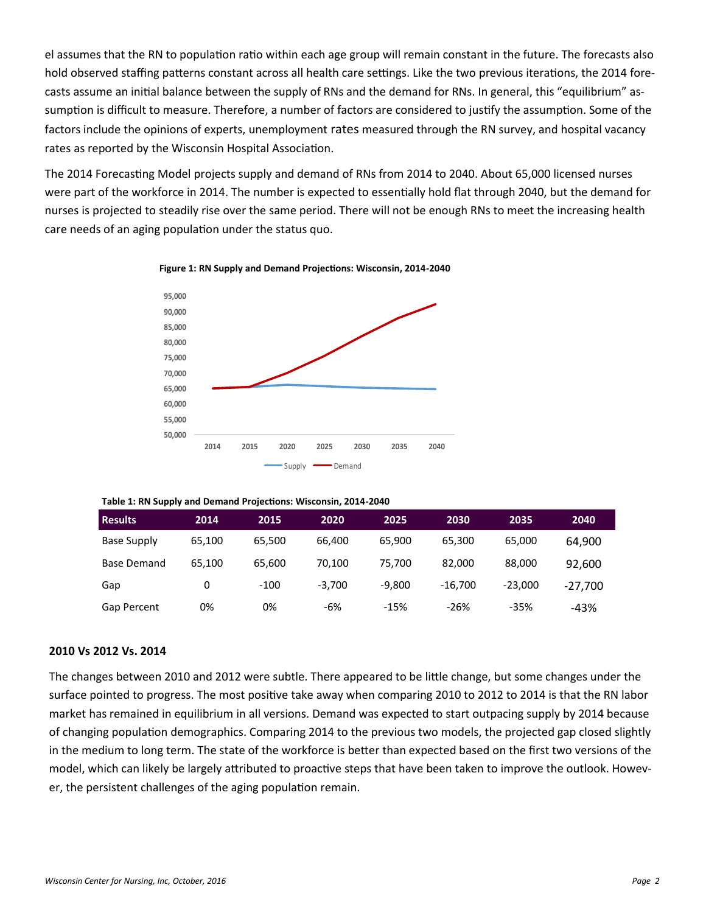el assumes that the RN to population ratio within each age group will remain constant in the future. The forecasts also hold observed staffing patterns constant across all health care settings. Like the two previous iterations, the 2014 forecasts assume an initial balance between the supply of RNs and the demand for RNs. In general, this "equilibrium" assumption is difficult to measure. Therefore, a number of factors are considered to justify the assumption. Some of the factors include the opinions of experts, unemployment rates measured through the RN survey, and hospital vacancy rates as reported by the Wisconsin Hospital Association.

The 2014 Forecasting Model projects supply and demand of RNs from 2014 to 2040. About 65,000 licensed nurses were part of the workforce in 2014. The number is expected to essentially hold flat through 2040, but the demand for nurses is projected to steadily rise over the same period. There will not be enough RNs to meet the increasing health care needs of an aging population under the status quo.



**Figure 1: RN Supply and Demand Projections: Wisconsin, 2014-2040**

| <b>Results</b>     | 2014   | 2015   | 2020     | 2025     | 2030      | 2035      | 2040      |
|--------------------|--------|--------|----------|----------|-----------|-----------|-----------|
| Base Supply        | 65.100 | 65.500 | 66.400   | 65.900   | 65,300    | 65,000    | 64,900    |
| <b>Base Demand</b> | 65.100 | 65.600 | 70.100   | 75.700   | 82.000    | 88,000    | 92,600    |
| Gap                | 0      | $-100$ | $-3.700$ | $-9.800$ | $-16.700$ | $-23.000$ | $-27.700$ |
| Gap Percent        | 0%     | 0%     | -6%      | $-15%$   | $-26%$    | $-35%$    | $-43%$    |

## **2010 Vs 2012 Vs. 2014**

The changes between 2010 and 2012 were subtle. There appeared to be little change, but some changes under the surface pointed to progress. The most positive take away when comparing 2010 to 2012 to 2014 is that the RN labor market has remained in equilibrium in all versions. Demand was expected to start outpacing supply by 2014 because of changing population demographics. Comparing 2014 to the previous two models, the projected gap closed slightly in the medium to long term. The state of the workforce is better than expected based on the first two versions of the model, which can likely be largely attributed to proactive steps that have been taken to improve the outlook. However, the persistent challenges of the aging population remain.